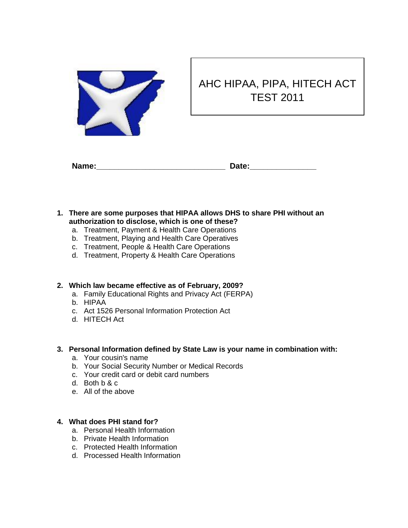

# AHC HIPAA, PIPA, HITECH ACT TEST 2011

| Name: | Date: |
|-------|-------|

- **1. There are some purposes that HIPAA allows DHS to share PHI without an authorization to disclose, which is one of these?**
	- a. Treatment, Payment & Health Care Operations
	- b. Treatment, Playing and Health Care Operatives
	- c. Treatment, People & Health Care Operations
	- d. Treatment, Property & Health Care Operations

#### **2. Which law became effective as of February, 2009?**

- a. Family Educational Rights and Privacy Act (FERPA)
- b. HIPAA
- c. Act 1526 Personal Information Protection Act
- d. HITECH Act

#### **3. Personal Information defined by State Law is your name in combination with:**

- a. Your cousin's name
- b. Your Social Security Number or Medical Records
- c. Your credit card or debit card numbers
- d. Both b & c
- e. All of the above

#### **4. What does PHI stand for?**

- a. Personal Health Information
- b. Private Health Information
- c. Protected Health Information
- d. Processed Health Information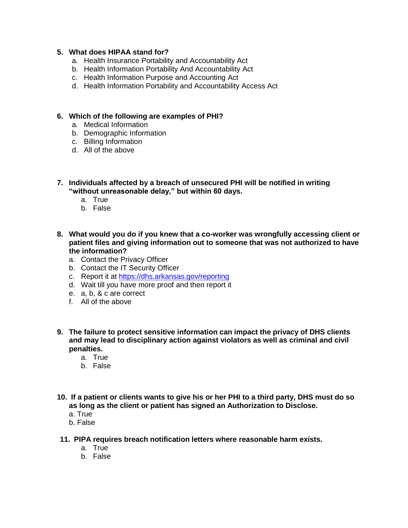#### **5. What does HIPAA stand for?**

- a. Health Insurance Portability and Accountability Act
- b. Health Information Portability And Accountability Act
- c. Health Information Purpose and Accounting Act
- d. Health Information Portability and Accountability Access Act

#### **6. Which of the following are examples of PHI?**

- a. Medical Information
- b. Demographic Information
- c. Billing Information
- d. All of the above
- **7. Individuals affected by a breach of unsecured PHI will be notified in writing "without unreasonable delay," but within 60 days.**
	- a. True
	- b. False
- **8. What would you do if you knew that a co-worker was wrongfully accessing client or patient files and giving information out to someone that was not authorized to have the information?**
	- a. Contact the Privacy Officer
	- b. Contact the IT Security Officer
	- c. Report it at<https://dhs.arkansas.gov/reporting>
	- d. Wait till you have more proof and then report it
	- e. a, b, & c are correct
	- f. All of the above
- **9. The failure to protect sensitive information can impact the privacy of DHS clients and may lead to disciplinary action against violators as well as criminal and civil penalties.**
	- a. True
	- b. False
- **10. If a patient or clients wants to give his or her PHI to a third party, DHS must do so as long as the client or patient has signed an Authorization to Disclose.**
	- a. True
	- b. False
- **11. PIPA requires breach notification letters where reasonable harm exists.**
	- a. True
	- b. False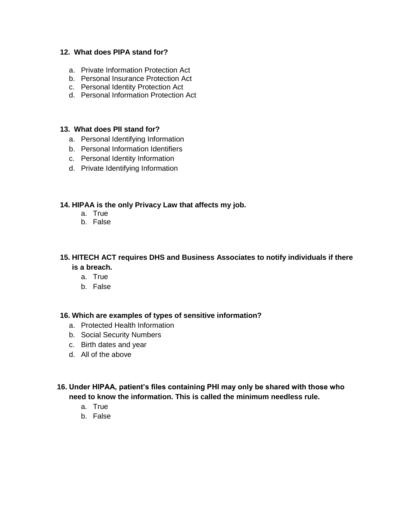#### **12. What does PIPA stand for?**

- a. Private Information Protection Act
- b. Personal Insurance Protection Act
- c. Personal Identity Protection Act
- d. Personal Information Protection Act

### **13. What does PII stand for?**

- a. Personal Identifying Information
- b. Personal Information Identifiers
- c. Personal Identity Information
- d. Private Identifying Information

#### **14. HIPAA is the only Privacy Law that affects my job.**

- a. True
- b. False

## **15. HITECH ACT requires DHS and Business Associates to notify individuals if there is a breach.**

- a. True
- b. False

#### **16. Which are examples of types of sensitive information?**

- a. Protected Health Information
- b. Social Security Numbers
- c. Birth dates and year
- d. All of the above
- **16. Under HIPAA, patient's files containing PHI may only be shared with those who need to know the information. This is called the minimum needless rule.**
	- a. True
	- b. False